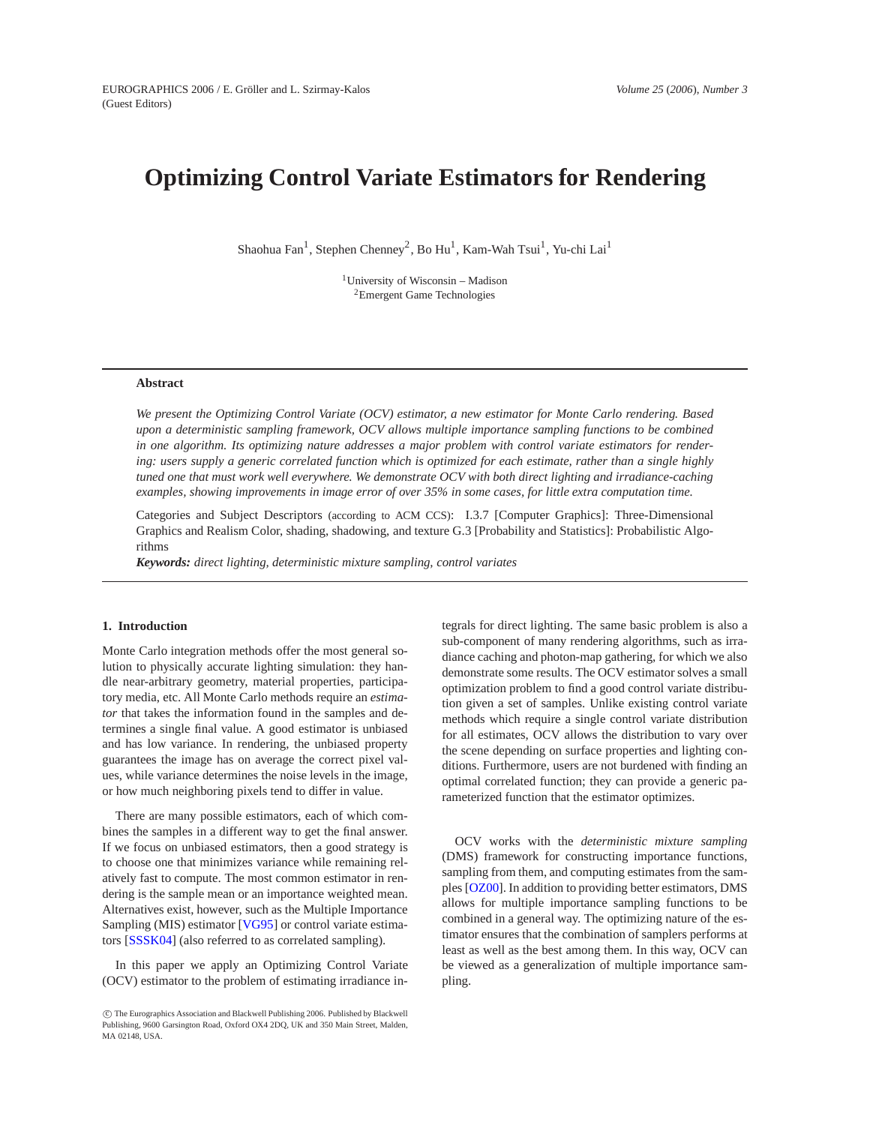# **Optimizing Control Variate Estimators for Rendering**

Shaohua Fan $^1$ , Stephen Chenney<sup>2</sup>, Bo Hu<sup>1</sup>, Kam-Wah Tsui<sup>1</sup>, Yu-chi Lai<sup>1</sup>

<sup>1</sup>University of Wisconsin – Madison <sup>2</sup>Emergent Game Technologies

# **Abstract**

*We present the Optimizing Control Variate (OCV) estimator, a new estimator for Monte Carlo rendering. Based upon a deterministic sampling framework, OCV allows multiple importance sampling functions to be combined in one algorithm. Its optimizing nature addresses a major problem with control variate estimators for rendering: users supply a generic correlated function which is optimized for each estimate, rather than a single highly tuned one that must work well everywhere. We demonstrate OCV with both direct lighting and irradiance-caching examples, showing improvements in image error of over 35% in some cases, for little extra computation time.*

Categories and Subject Descriptors (according to ACM CCS): I.3.7 [Computer Graphics]: Three-Dimensional Graphics and Realism Color, shading, shadowing, and texture G.3 [Probability and Statistics]: Probabilistic Algorithms

*Keywords: direct lighting, deterministic mixture sampling, control variates*

### **1. Introduction**

Monte Carlo integration methods offer the most general solution to physically accurate lighting simulation: they handle near-arbitrary geometry, material properties, participatory media, etc. All Monte Carlo methods require an *estimator* that takes the information found in the samples and determines a single final value. A good estimator is unbiased and has low variance. In rendering, the unbiased property guarantees the image has on average the correct pixel values, while variance determines the noise levels in the image, or how much neighboring pixels tend to differ in value.

There are many possible estimators, each of which combines the samples in a different way to get the final answer. If we focus on unbiased estimators, then a good strategy is to choose one that minimizes variance while remaining relatively fast to compute. The most common estimator in rendering is the sample mean or an importance weighted mean. Alternatives exist, however, such as the Multiple Importance Sampling (MIS) estimator [\[VG95\]](#page-6-0) or control variate estimators [\[SSSK04\]](#page-6-1) (also referred to as correlated sampling).

In this paper we apply an Optimizing Control Variate (OCV) estimator to the problem of estimating irradiance in-

tegrals for direct lighting. The same basic problem is also a sub-component of many rendering algorithms, such as irradiance caching and photon-map gathering, for which we also demonstrate some results. The OCV estimator solves a small optimization problem to find a good control variate distribution given a set of samples. Unlike existing control variate methods which require a single control variate distribution for all estimates, OCV allows the distribution to vary over the scene depending on surface properties and lighting conditions. Furthermore, users are not burdened with finding an optimal correlated function; they can provide a generic parameterized function that the estimator optimizes.

OCV works with the *deterministic mixture sampling* (DMS) framework for constructing importance functions, sampling from them, and computing estimates from the samples [\[OZ00\]](#page-6-2). In addition to providing better estimators, DMS allows for multiple importance sampling functions to be combined in a general way. The optimizing nature of the estimator ensures that the combination of samplers performs at least as well as the best among them. In this way, OCV can be viewed as a generalization of multiple importance sampling.

c The Eurographics Association and Blackwell Publishing 2006. Published by Blackwell Publishing, 9600 Garsington Road, Oxford OX4 2DQ, UK and 350 Main Street, Malden, MA 02148, USA.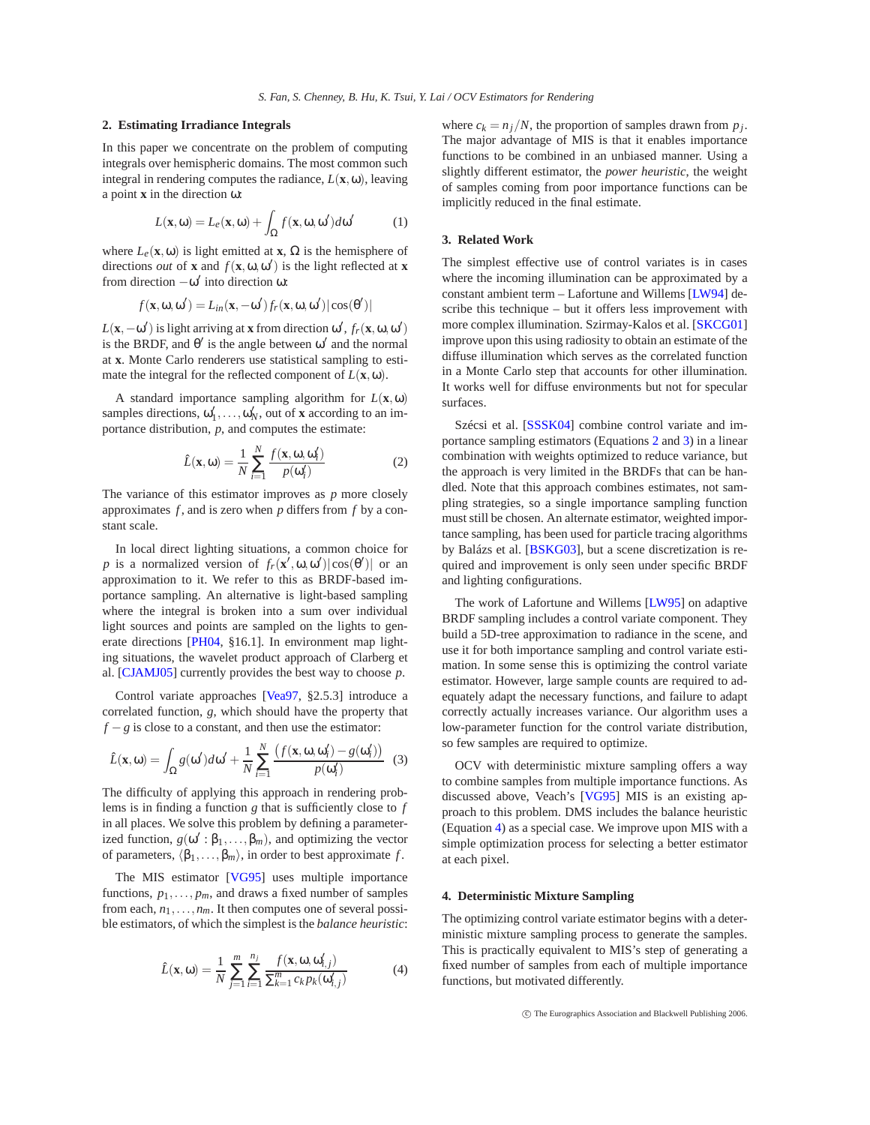# **2. Estimating Irradiance Integrals**

In this paper we concentrate on the problem of computing integrals over hemispheric domains. The most common such integral in rendering computes the radiance,  $L(\mathbf{x}, \omega)$ , leaving a point **x** in the direction ω:

<span id="page-1-3"></span>
$$
L(\mathbf{x}, \omega) = L_e(\mathbf{x}, \omega) + \int_{\Omega} f(\mathbf{x}, \omega, \omega') d\omega' \tag{1}
$$

where  $L_e(\mathbf{x}, \omega)$  is light emitted at **x**,  $\Omega$  is the hemisphere of directions *out* of **x** and  $f(\mathbf{x}, \omega, \omega')$  is the light reflected at **x** from direction  $-\omega'$  into direction  $\omega$ :

$$
f(\mathbf{x}, \omega, \omega') = L_{in}(\mathbf{x}, -\omega') f_r(\mathbf{x}, \omega, \omega') |\cos(\theta')|
$$

*L*(**x**, −ω<sup> $\prime$ </sup>) is light arriving at **x** from direction ω',  $f_r$ (**x**, ω, ω') is the BRDF, and  $\theta'$  is the angle between  $\omega'$  and the normal at **x**. Monte Carlo renderers use statistical sampling to estimate the integral for the reflected component of  $L(\mathbf{x}, \omega)$ .

A standard importance sampling algorithm for  $L(\mathbf{x}, \omega)$ samples directions,  $\omega'_1, \ldots, \omega'_N$ , out of **x** according to an importance distribution, *p*, and computes the estimate:

<span id="page-1-0"></span>
$$
\hat{L}(\mathbf{x}, \omega) = \frac{1}{N} \sum_{i=1}^{N} \frac{f(\mathbf{x}, \omega, \omega_i')}{p(\omega_i')} \tag{2}
$$

The variance of this estimator improves as *p* more closely approximates *f* , and is zero when *p* differs from *f* by a constant scale.

In local direct lighting situations, a common choice for *p* is a normalized version of  $f_r(\mathbf{x}', \omega, \omega') |\cos(\theta')|$  or an approximation to it. We refer to this as BRDF-based importance sampling. An alternative is light-based sampling where the integral is broken into a sum over individual light sources and points are sampled on the lights to generate directions [\[PH04,](#page-6-3) §16.1]. In environment map lighting situations, the wavelet product approach of Clarberg et al. [\[CJAMJ05\]](#page-6-4) currently provides the best way to choose *p*.

Control variate approaches [\[Vea97,](#page-6-5) §2.5.3] introduce a correlated function, *g*, which should have the property that  $f - g$  is close to a constant, and then use the estimator:

$$
\hat{L}(\mathbf{x}, \omega) = \int_{\Omega} g(\omega') d\omega' + \frac{1}{N} \sum_{i=1}^{N} \frac{\left(f(\mathbf{x}, \omega, \omega'_i) - g(\omega'_i)\right)}{p(\omega'_i)} \tag{3}
$$

The difficulty of applying this approach in rendering problems is in finding a function *g* that is sufficiently close to *f* in all places. We solve this problem by defining a parameterized function,  $g(\omega': \beta_1, ..., \beta_m)$ , and optimizing the vector of parameters,  $\langle \beta_1, \ldots, \beta_m \rangle$ , in order to best approximate *f*.

<span id="page-1-2"></span>The MIS estimator [\[VG95\]](#page-6-0) uses multiple importance functions,  $p_1, \ldots, p_m$ , and draws a fixed number of samples from each,  $n_1, \ldots, n_m$ . It then computes one of several possible estimators, of which the simplest is the *balance heuristic*:

$$
\hat{L}(\mathbf{x}, \omega) = \frac{1}{N} \sum_{j=1}^{m} \sum_{i=1}^{n_j} \frac{f(\mathbf{x}, \omega, \omega'_{i,j})}{\sum_{k=1}^{m} c_k p_k(\omega'_{i,j})}
$$
(4)

where  $c_k = n_j/N$ , the proportion of samples drawn from  $p_j$ . The major advantage of MIS is that it enables importance functions to be combined in an unbiased manner. Using a slightly different estimator, the *power heuristic*, the weight of samples coming from poor importance functions can be implicitly reduced in the final estimate.

### **3. Related Work**

The simplest effective use of control variates is in cases where the incoming illumination can be approximated by a constant ambient term – Lafortune and Willems [\[LW94\]](#page-6-6) describe this technique – but it offers less improvement with more complex illumination. Szirmay-Kalos et al. [\[SKCG01\]](#page-6-7) improve upon this using radiosity to obtain an estimate of the diffuse illumination which serves as the correlated function in a Monte Carlo step that accounts for other illumination. It works well for diffuse environments but not for specular surfaces.

Szécsi et al. [\[SSSK04\]](#page-6-1) combine control variate and importance sampling estimators (Equations [2](#page-1-0) and [3\)](#page-1-1) in a linear combination with weights optimized to reduce variance, but the approach is very limited in the BRDFs that can be handled. Note that this approach combines estimates, not sampling strategies, so a single importance sampling function must still be chosen. An alternate estimator, weighted importance sampling, has been used for particle tracing algorithms by Balázs et al. [\[BSKG03\]](#page-6-8), but a scene discretization is required and improvement is only seen under specific BRDF and lighting configurations.

The work of Lafortune and Willems [\[LW95\]](#page-6-9) on adaptive BRDF sampling includes a control variate component. They build a 5D-tree approximation to radiance in the scene, and use it for both importance sampling and control variate estimation. In some sense this is optimizing the control variate estimator. However, large sample counts are required to adequately adapt the necessary functions, and failure to adapt correctly actually increases variance. Our algorithm uses a low-parameter function for the control variate distribution, so few samples are required to optimize.

<span id="page-1-1"></span>OCV with deterministic mixture sampling offers a way to combine samples from multiple importance functions. As discussed above, Veach's [\[VG95\]](#page-6-0) MIS is an existing approach to this problem. DMS includes the balance heuristic (Equation [4\)](#page-1-2) as a special case. We improve upon MIS with a simple optimization process for selecting a better estimator at each pixel.

## **4. Deterministic Mixture Sampling**

The optimizing control variate estimator begins with a deterministic mixture sampling process to generate the samples. This is practically equivalent to MIS's step of generating a fixed number of samples from each of multiple importance functions, but motivated differently.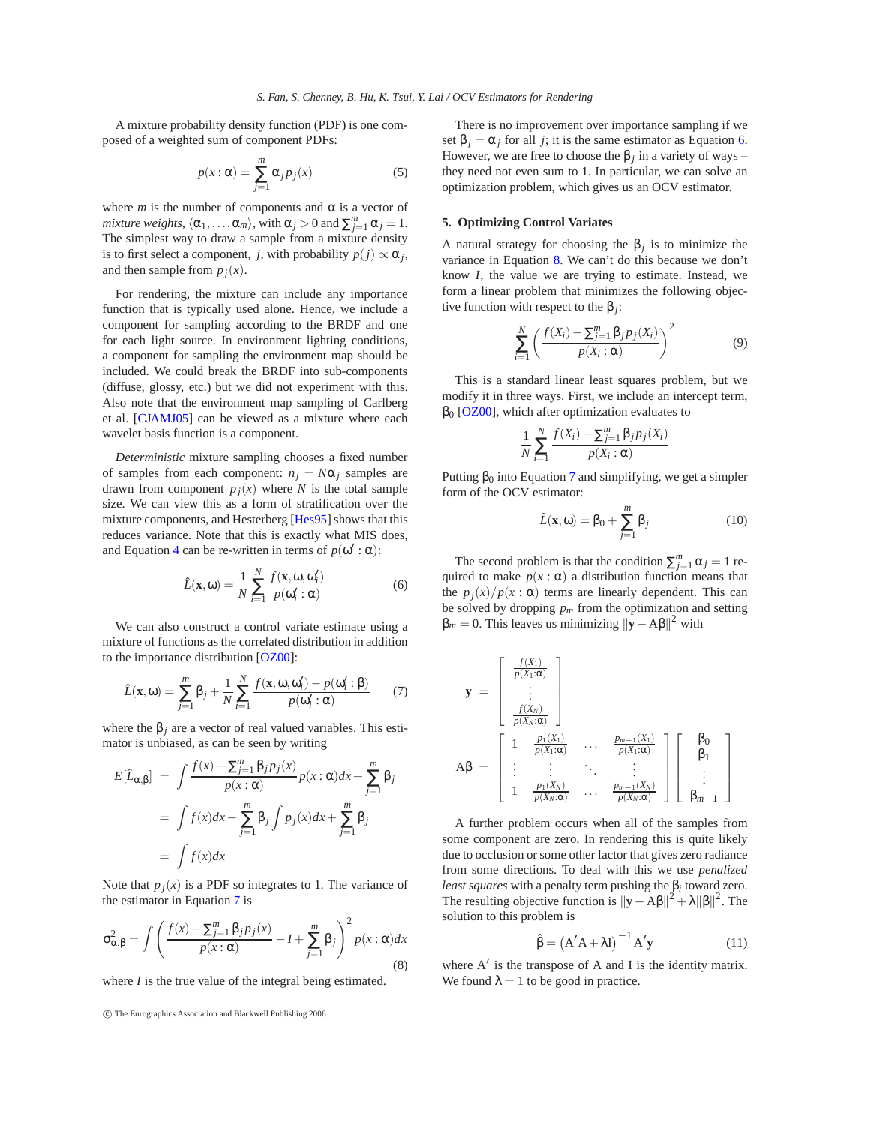A mixture probability density function (PDF) is one composed of a weighted sum of component PDFs:

$$
p(x: \alpha) = \sum_{j=1}^{m} \alpha_j p_j(x) \tag{5}
$$

where  $m$  is the number of components and  $\alpha$  is a vector of *mixture weights*,  $\langle \alpha_1, \ldots, \alpha_m \rangle$ , with  $\alpha_j > 0$  and  $\sum_{j=1}^m \alpha_j = 1$ . The simplest way to draw a sample from a mixture density is to first select a component, *j*, with probability  $p(j) \propto \alpha_j$ , and then sample from  $p_j(x)$ .

For rendering, the mixture can include any importance function that is typically used alone. Hence, we include a component for sampling according to the BRDF and one for each light source. In environment lighting conditions, a component for sampling the environment map should be included. We could break the BRDF into sub-components (diffuse, glossy, etc.) but we did not experiment with this. Also note that the environment map sampling of Carlberg et al. [\[CJAMJ05\]](#page-6-4) can be viewed as a mixture where each wavelet basis function is a component.

*Deterministic* mixture sampling chooses a fixed number of samples from each component:  $n_j = N\alpha_j$  samples are drawn from component  $p_j(x)$  where *N* is the total sample size. We can view this as a form of stratification over the mixture components, and Hesterberg [\[Hes95\]](#page-6-10) shows that this reduces variance. Note that this is exactly what MIS does, and Equation [4](#page-1-2) can be re-written in terms of  $p(\omega') : \alpha$ ):

<span id="page-2-1"></span>
$$
\hat{L}(\mathbf{x}, \omega) = \frac{1}{N} \sum_{i=1}^{N} \frac{f(\mathbf{x}, \omega, \omega_i')}{p(\omega_i' : \alpha)}
$$
(6)

We can also construct a control variate estimate using a mixture of functions as the correlated distribution in addition to the importance distribution [\[OZ00\]](#page-6-2):

<span id="page-2-0"></span>
$$
\hat{L}(\mathbf{x}, \omega) = \sum_{j=1}^{m} \beta_j + \frac{1}{N} \sum_{i=1}^{N} \frac{f(\mathbf{x}, \omega, \omega_i') - p(\omega_i' : \beta)}{p(\omega_i' : \alpha)} \tag{7}
$$

where the  $\beta_i$  are a vector of real valued variables. This estimator is unbiased, as can be seen by writing

$$
E[\hat{L}_{\alpha,\beta}] = \int \frac{f(x) - \sum_{j=1}^{m} \beta_j p_j(x)}{p(x:\alpha)} p(x:\alpha) dx + \sum_{j=1}^{m} \beta_j
$$
  
= 
$$
\int f(x) dx - \sum_{j=1}^{m} \beta_j \int p_j(x) dx + \sum_{j=1}^{m} \beta_j
$$
  
= 
$$
\int f(x) dx
$$

<span id="page-2-2"></span>Note that  $p_j(x)$  is a PDF so integrates to 1. The variance of the estimator in Equation [7](#page-2-0) is

$$
\sigma_{\alpha,\beta}^2 = \int \left( \frac{f(x) - \sum_{j=1}^m \beta_j p_j(x)}{p(x:\alpha)} - I + \sum_{j=1}^m \beta_j \right)^2 p(x:\alpha) dx
$$
\n(8)

where *I* is the true value of the integral being estimated.

There is no improvement over importance sampling if we set  $\beta_i = \alpha_i$  for all *j*; it is the same estimator as Equation [6.](#page-2-1) However, we are free to choose the  $\beta_j$  in a variety of ways – they need not even sum to 1. In particular, we can solve an optimization problem, which gives us an OCV estimator.

## **5. Optimizing Control Variates**

A natural strategy for choosing the  $\beta_j$  is to minimize the variance in Equation [8.](#page-2-2) We can't do this because we don't know *I*, the value we are trying to estimate. Instead, we form a linear problem that minimizes the following objective function with respect to the  $\beta_j$ :

$$
\sum_{i=1}^{N} \left( \frac{f(X_i) - \sum_{j=1}^{m} \beta_j p_j(X_i)}{p(X_i : \alpha)} \right)^2 \tag{9}
$$

This is a standard linear least squares problem, but we modify it in three ways. First, we include an intercept term,  $β<sub>0</sub>$  [\[OZ00\]](#page-6-2), which after optimization evaluates to

$$
\frac{1}{N} \sum_{i=1}^{N} \frac{f(X_i) - \sum_{j=1}^{m} \beta_j p_j(X_i)}{p(X_i : \alpha)}
$$

<span id="page-2-4"></span>Putting  $β_0$  into Equation [7](#page-2-0) and simplifying, we get a simpler form of the OCV estimator:

$$
\hat{L}(\mathbf{x}, \omega) = \beta_0 + \sum_{j=1}^{m} \beta_j \tag{10}
$$

The second problem is that the condition  $\sum_{j=1}^{m} \alpha_j = 1$  required to make  $p(x : \alpha)$  a distribution function means that the  $p_j(x)/p(x:\alpha)$  terms are linearly dependent. This can be solved by dropping *pm* from the optimization and setting  $\beta_m = 0$ . This leaves us minimizing  $\|\mathbf{y} - \mathbf{A}\boldsymbol{\beta}\|^2$  with

$$
\mathbf{y} = \begin{bmatrix} \frac{f(X_1)}{p(X_1:\alpha)} \\ \vdots \\ \frac{f(X_N)}{p(X_N:\alpha)} \end{bmatrix}
$$

$$
AB = \begin{bmatrix} 1 & \frac{p_1(X_1)}{p(X_1:\alpha)} & \cdots & \frac{p_{m-1}(X_1)}{p(X_1:\alpha)} \\ \vdots & \vdots & \ddots & \vdots \\ 1 & \frac{p_1(X_N)}{p(X_N:\alpha)} & \cdots & \frac{p_{m-1}(X_N)}{p(X_N:\alpha)} \end{bmatrix} \begin{bmatrix} \beta_0 \\ \beta_1 \\ \vdots \\ \beta_{m-1} \end{bmatrix}
$$

A further problem occurs when all of the samples from some component are zero. In rendering this is quite likely due to occlusion or some other factor that gives zero radiance from some directions. To deal with this we use *penalized least squares* with a penalty term pushing the  $\beta_i$  toward zero. The resulting objective function is  $\|\mathbf{y} - A\boldsymbol{\beta}\|^2 + \lambda \|\boldsymbol{\beta}\|^2$ . The solution to this problem is

<span id="page-2-3"></span>
$$
\hat{\beta} = (A'A + \lambda I)^{-1} A' y \tag{11}
$$

where A' is the transpose of A and I is the identity matrix. We found  $\lambda = 1$  to be good in practice.

c The Eurographics Association and Blackwell Publishing 2006.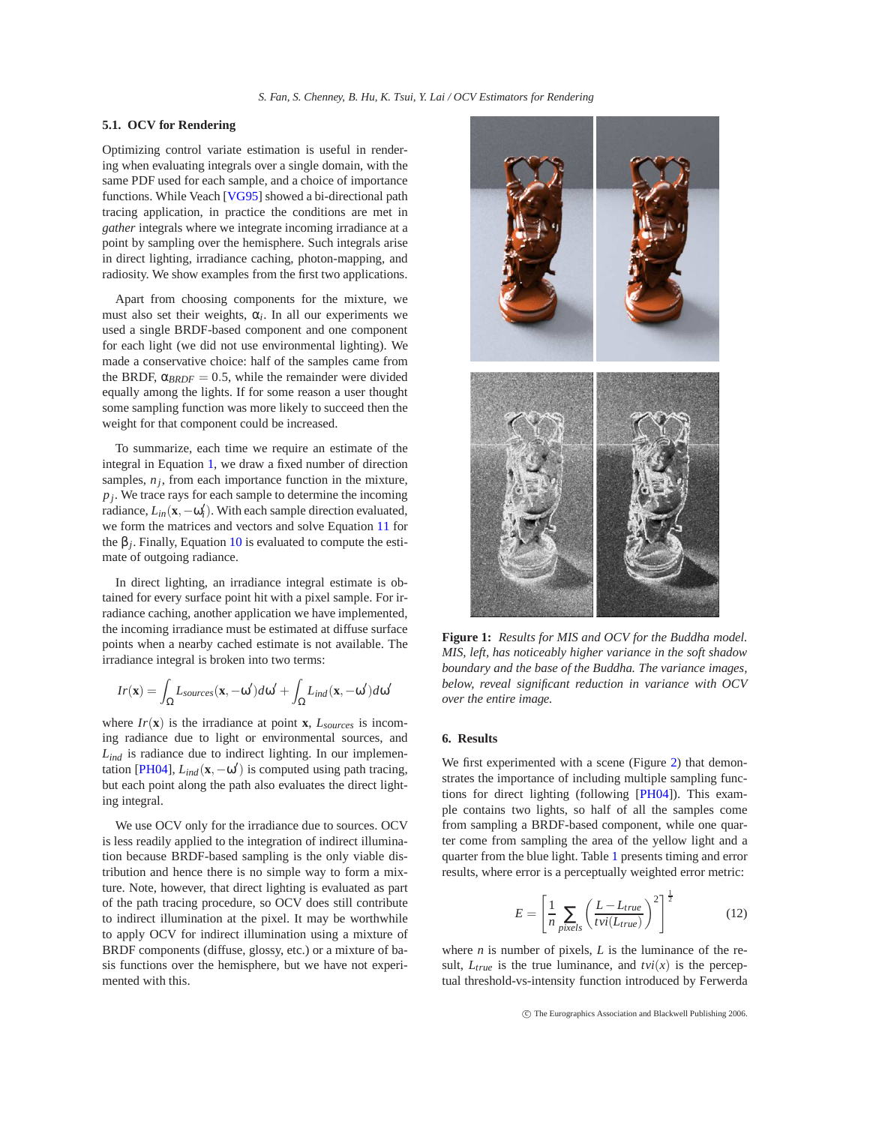# **5.1. OCV for Rendering**

Optimizing control variate estimation is useful in rendering when evaluating integrals over a single domain, with the same PDF used for each sample, and a choice of importance functions. While Veach [\[VG95\]](#page-6-0) showed a bi-directional path tracing application, in practice the conditions are met in *gather* integrals where we integrate incoming irradiance at a point by sampling over the hemisphere. Such integrals arise in direct lighting, irradiance caching, photon-mapping, and radiosity. We show examples from the first two applications.

Apart from choosing components for the mixture, we must also set their weights,  $\alpha_i$ . In all our experiments we used a single BRDF-based component and one component for each light (we did not use environmental lighting). We made a conservative choice: half of the samples came from the BRDF,  $\alpha_{BRDF} = 0.5$ , while the remainder were divided equally among the lights. If for some reason a user thought some sampling function was more likely to succeed then the weight for that component could be increased.

To summarize, each time we require an estimate of the integral in Equation [1,](#page-1-3) we draw a fixed number of direction samples,  $n_j$ , from each importance function in the mixture, *pj* . We trace rays for each sample to determine the incoming radiance,  $L_{in}(\mathbf{x}, -\omega'_i)$ . With each sample direction evaluated, we form the matrices and vectors and solve Equation [11](#page-2-3) for the  $\beta_j$ . Finally, Equation [10](#page-2-4) is evaluated to compute the estimate of outgoing radiance.

In direct lighting, an irradiance integral estimate is obtained for every surface point hit with a pixel sample. For irradiance caching, another application we have implemented, the incoming irradiance must be estimated at diffuse surface points when a nearby cached estimate is not available. The irradiance integral is broken into two terms:

$$
Ir(\mathbf{x}) = \int_{\Omega} L_{sources}(\mathbf{x}, -\omega') d\omega' + \int_{\Omega} L_{ind}(\mathbf{x}, -\omega') d\omega
$$

where  $Ir(\mathbf{x})$  is the irradiance at point **x**,  $L_{sources}$  is incoming radiance due to light or environmental sources, and  $L_{ind}$  is radiance due to indirect lighting. In our implemen-tation [\[PH04\]](#page-6-3),  $L_{ind}(\mathbf{x}, -\omega')$  is computed using path tracing, but each point along the path also evaluates the direct lighting integral.

We use OCV only for the irradiance due to sources. OCV is less readily applied to the integration of indirect illumination because BRDF-based sampling is the only viable distribution and hence there is no simple way to form a mixture. Note, however, that direct lighting is evaluated as part of the path tracing procedure, so OCV does still contribute to indirect illumination at the pixel. It may be worthwhile to apply OCV for indirect illumination using a mixture of BRDF components (diffuse, glossy, etc.) or a mixture of basis functions over the hemisphere, but we have not experimented with this.



**Figure 1:** *Results for MIS and OCV for the Buddha model. MIS, left, has noticeably higher variance in the soft shadow boundary and the base of the Buddha. The variance images, below, reveal significant reduction in variance with OCV over the entire image.*

#### **6. Results**

<span id="page-3-1"></span>′

We first experimented with a scene (Figure [2\)](#page-4-0) that demonstrates the importance of including multiple sampling functions for direct lighting (following [\[PH04\]](#page-6-3)). This example contains two lights, so half of all the samples come from sampling a BRDF-based component, while one quarter come from sampling the area of the yellow light and a quarter from the blue light. Table [1](#page-5-0) presents timing and error results, where error is a perceptually weighted error metric:

<span id="page-3-0"></span>
$$
E = \left[\frac{1}{n} \sum_{pixels} \left(\frac{L - L_{true}}{tvi(L_{true})}\right)^2\right]^{\frac{1}{2}}
$$
(12)

where *n* is number of pixels, *L* is the luminance of the result,  $L_{true}$  is the true luminance, and  $tvi(x)$  is the perceptual threshold-vs-intensity function introduced by Ferwerda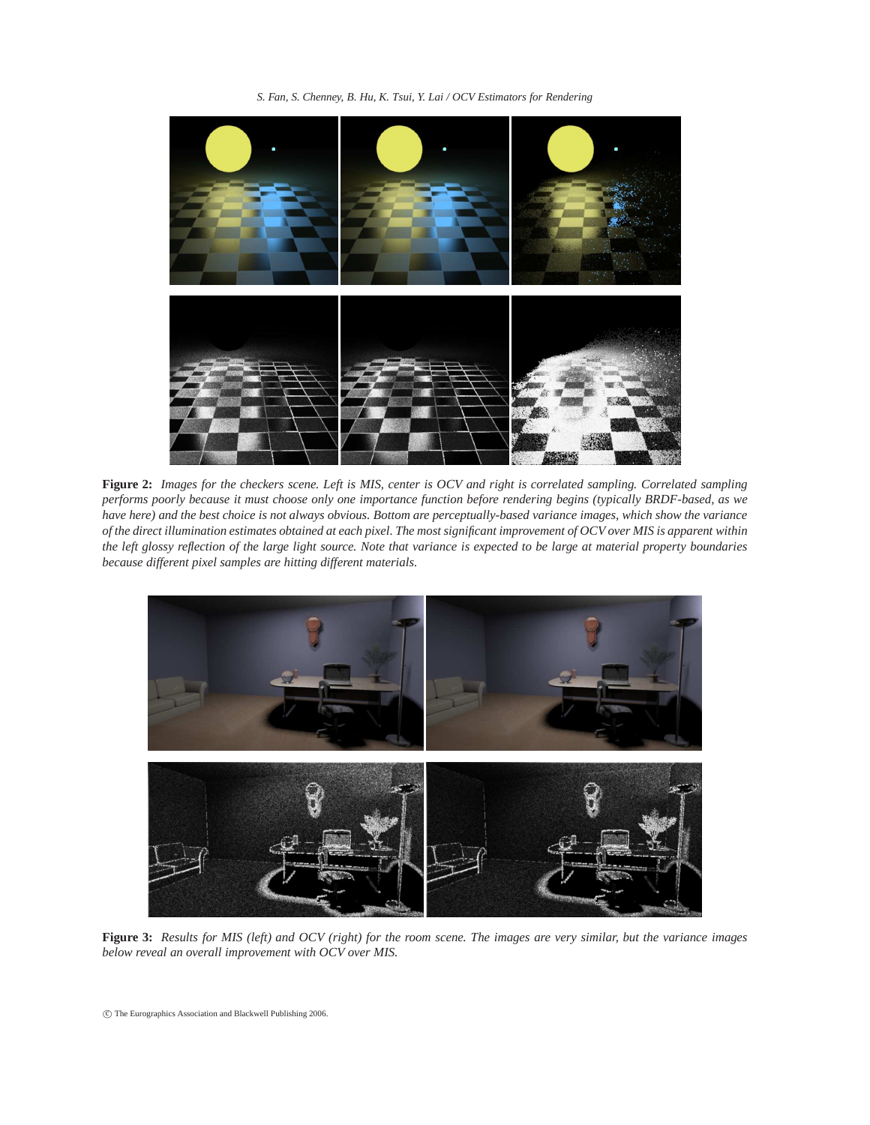*S. Fan, S. Chenney, B. Hu, K. Tsui, Y. Lai / OCV Estimators for Rendering*



<span id="page-4-0"></span>**Figure 2:** *Images for the checkers scene. Left is MIS, center is OCV and right is correlated sampling. Correlated sampling performs poorly because it must choose only one importance function before rendering begins (typically BRDF-based, as we have here) and the best choice is not always obvious. Bottom are perceptually-based variance images, which show the variance of the direct illumination estimates obtained at each pixel. The most significant improvement of OCV over MIS is apparent within the left glossy reflection of the large light source. Note that variance is expected to be large at material property boundaries because different pixel samples are hitting different materials.*



**Figure 3:** *Results for MIS (left) and OCV (right) for the room scene. The images are very similar, but the variance images below reveal an overall improvement with OCV over MIS.*

<span id="page-4-1"></span>c The Eurographics Association and Blackwell Publishing 2006.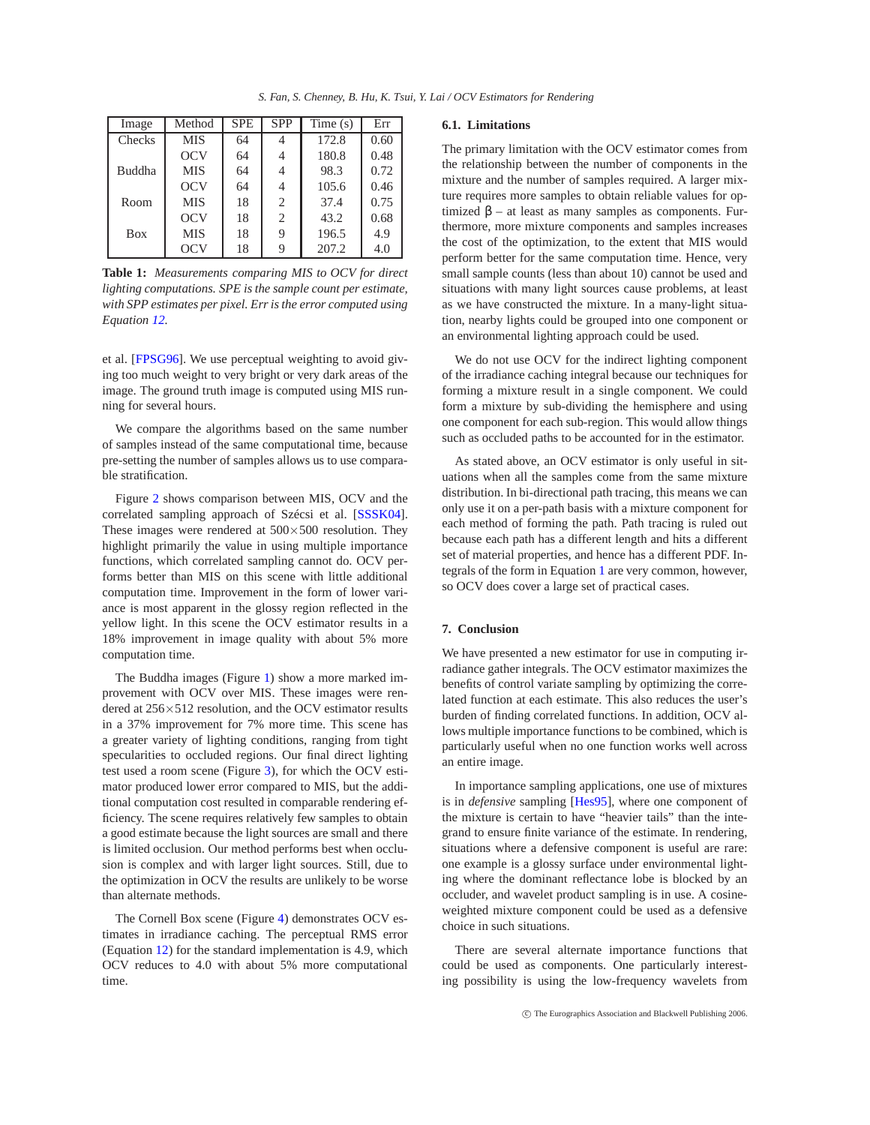*S. Fan, S. Chenney, B. Hu, K. Tsui, Y. Lai / OCV Estimators for Rendering*

| Image         | Method     | <b>SPE</b> | <b>SPP</b>     | Time(s) | Err  |
|---------------|------------|------------|----------------|---------|------|
| Checks        | <b>MIS</b> | 64         | 4              | 172.8   | 0.60 |
|               | <b>OCV</b> | 64         | 4              | 180.8   | 0.48 |
| <b>Buddha</b> | <b>MIS</b> | 64         | 4              | 98.3    | 0.72 |
|               | <b>OCV</b> | 64         | 4              | 105.6   | 0.46 |
| Room          | <b>MIS</b> | 18         | $\overline{c}$ | 37.4    | 0.75 |
|               | <b>OCV</b> | 18         | $\overline{c}$ | 43.2    | 0.68 |
| <b>Box</b>    | <b>MIS</b> | 18         | 9              | 196.5   | 4.9  |
|               | <b>OCV</b> | 18         | 9              | 207.2   | 4.0  |

<span id="page-5-0"></span>**Table 1:** *Measurements comparing MIS to OCV for direct lighting computations. SPE is the sample count per estimate, with SPP estimates per pixel. Err is the error computed using Equation [12.](#page-3-0)*

et al. [\[FPSG96\]](#page-6-11). We use perceptual weighting to avoid giving too much weight to very bright or very dark areas of the image. The ground truth image is computed using MIS running for several hours.

We compare the algorithms based on the same number of samples instead of the same computational time, because pre-setting the number of samples allows us to use comparable stratification.

Figure [2](#page-4-0) shows comparison between MIS, OCV and the correlated sampling approach of Szécsi et al. [\[SSSK04\]](#page-6-1). These images were rendered at  $500\times500$  resolution. They highlight primarily the value in using multiple importance functions, which correlated sampling cannot do. OCV performs better than MIS on this scene with little additional computation time. Improvement in the form of lower variance is most apparent in the glossy region reflected in the yellow light. In this scene the OCV estimator results in a 18% improvement in image quality with about 5% more computation time.

The Buddha images (Figure [1\)](#page-3-1) show a more marked improvement with OCV over MIS. These images were rendered at 256×512 resolution, and the OCV estimator results in a 37% improvement for 7% more time. This scene has a greater variety of lighting conditions, ranging from tight specularities to occluded regions. Our final direct lighting test used a room scene (Figure [3\)](#page-4-1), for which the OCV estimator produced lower error compared to MIS, but the additional computation cost resulted in comparable rendering efficiency. The scene requires relatively few samples to obtain a good estimate because the light sources are small and there is limited occlusion. Our method performs best when occlusion is complex and with larger light sources. Still, due to the optimization in OCV the results are unlikely to be worse than alternate methods.

The Cornell Box scene (Figure [4\)](#page-6-12) demonstrates OCV estimates in irradiance caching. The perceptual RMS error (Equation [12\)](#page-3-0) for the standard implementation is 4.9, which OCV reduces to 4.0 with about 5% more computational time.

# **6.1. Limitations**

The primary limitation with the OCV estimator comes from the relationship between the number of components in the mixture and the number of samples required. A larger mixture requires more samples to obtain reliable values for optimized  $β - at least as many samples as components. Fur$ thermore, more mixture components and samples increases the cost of the optimization, to the extent that MIS would perform better for the same computation time. Hence, very small sample counts (less than about 10) cannot be used and situations with many light sources cause problems, at least as we have constructed the mixture. In a many-light situation, nearby lights could be grouped into one component or an environmental lighting approach could be used.

We do not use OCV for the indirect lighting component of the irradiance caching integral because our techniques for forming a mixture result in a single component. We could form a mixture by sub-dividing the hemisphere and using one component for each sub-region. This would allow things such as occluded paths to be accounted for in the estimator.

As stated above, an OCV estimator is only useful in situations when all the samples come from the same mixture distribution. In bi-directional path tracing, this means we can only use it on a per-path basis with a mixture component for each method of forming the path. Path tracing is ruled out because each path has a different length and hits a different set of material properties, and hence has a different PDF. Integrals of the form in Equation [1](#page-1-3) are very common, however, so OCV does cover a large set of practical cases.

#### **7. Conclusion**

We have presented a new estimator for use in computing irradiance gather integrals. The OCV estimator maximizes the benefits of control variate sampling by optimizing the correlated function at each estimate. This also reduces the user's burden of finding correlated functions. In addition, OCV allows multiple importance functions to be combined, which is particularly useful when no one function works well across an entire image.

In importance sampling applications, one use of mixtures is in *defensive* sampling [\[Hes95\]](#page-6-10), where one component of the mixture is certain to have "heavier tails" than the integrand to ensure finite variance of the estimate. In rendering, situations where a defensive component is useful are rare: one example is a glossy surface under environmental lighting where the dominant reflectance lobe is blocked by an occluder, and wavelet product sampling is in use. A cosineweighted mixture component could be used as a defensive choice in such situations.

There are several alternate importance functions that could be used as components. One particularly interesting possibility is using the low-frequency wavelets from